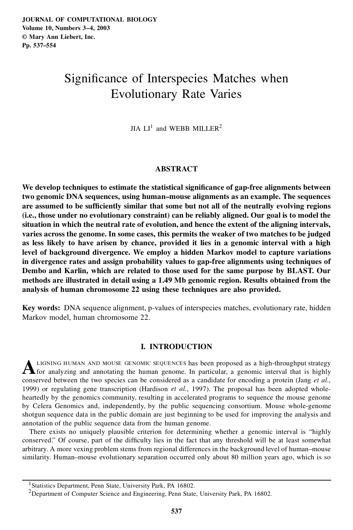# Significance of Interspecies Matches when Evolutionary Rate Varies

 $JIA$  LI<sup>1</sup> and WEBB MILLER<sup>2</sup>

# **ABSTRACT**

**We develop techniques to estimate the statistical signi cance of gap-free alignments between two genomic DNA sequences, using human–mouse alignments as an example. The sequences are assumed to be suf ciently similar that some but not all of the neutrally evolving regions (i.e., those under no evolutionary constraint) can be reliably aligned. Our goal is to model the situation in which the neutral rate of evolution, and hence the extent of the aligning intervals, varies across the genome. In some cases, this permits the weaker of two matches to be judged as less likely to have arisen by chance, provided it lies in a genomic interval with a high level of background divergence. We employ a hidden Markov model to capture variations in divergence rates and assign probability values to gap-free alignments using techniques of Dembo and Karlin, which are related to those used for the same purpose by BLAST. Our methods are illustrated in detail using a 1.49 Mb genomic region. Results obtained from the analysis of human chromosome 22 using these techniques are also provided.**

**Key words:** DNA sequence alignment, p-values of interspecies matches, evolutionary rate, hidden Markov model, human chromosome 22.

# **I. INTRODUCTION**

A LIGNING HUMAN AND MOUSE GENOMIC SEQUENCES has been proposed as a high-throughput strategy<br>for analyzing and annotating the human genome. In particular, a genomic interval that is highly ligning human and mouse genomic sequences has been proposed as a high-throughput strategy conserved between the two species can be considered as a candidate for encoding a protein (Jang *et al.*, 1999) or regulating gene transcription (Hardison *et al.*, 1997). The proposal has been adopted wholeheartedly by the genomics community, resulting in accelerated programs to sequence the mouse genome by Celera Genomics and, independently, by the public sequencing consortium. Mouse whole-genome shotgun sequence data in the public domain are just beginning to be used for improving the analysis and annotation of the public sequence data from the human genome.

There exists no uniquely plausible criterion for determining whether a genomic interval is "highly conserved." Of course, part of the difficulty lies in the fact that any threshold will be at least somewhat arbitrary. A more vexing problem stems from regional differences in the background level of human–mouse similarity. Human–mouse evolutionary separation occurred only about 80 million years ago, which is so

<sup>&</sup>lt;sup>1</sup> Statistics Department, Penn State, University Park, PA 16802.

<sup>&</sup>lt;sup>2</sup>Department of Computer Science and Engineering, Penn State, University Park, PA 16802.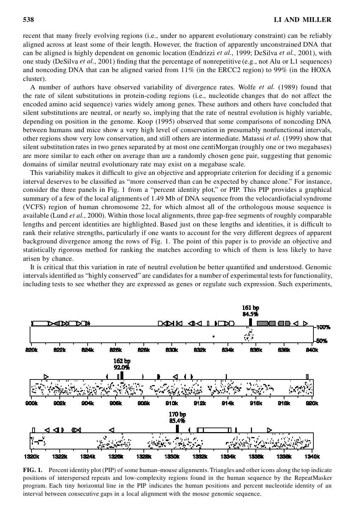recent that many freely evolving regions (i.e., under no apparent evolutionary constraint) can be reliably aligned across at least some of their length. However, the fraction of apparently unconstrained DNA that can be aligned is highly dependent on genomic location (Endrizzi *et al.*, 1999; DeSilva *et al.*, 2001), with one study (DeSilva *et al.*, 2001) finding that the percentage of nonrepetitive (e.g., not Alu or L1 sequences) and noncoding DNA that can be aligned varied from 11% (in the ERCC2 region) to 99% (in the HOXA cluster).

A number of authors have observed variability of divergence rates. Wolfe *et al.* (1989) found that the rate of silent substitutions in protein-coding regions (i.e., nucleotide changes that do not affect the encoded amino acid sequence) varies widely among genes. These authors and others have concluded that silent substitutions are neutral, or nearly so, implying that the rate of neutral evolution is highly variable, depending on position in the genome. Koop (1995) observed that some comparisons of noncoding DNA between humans and mice show a very high level of conservation in presumably nonfunctional intervals, other regions show very low conservation, and still others are intermediate. Matassi *et al.* (1999) show that silent substitution rates in two genes separated by at most one centiMorgan (roughly one or two megabases) are more similar to each other on average than are a randomly chosen gene pair, suggesting that genomic domains of similar neutral evolutionary rate may exist on a megabase scale.

This variability makes it difficult to give an objective and appropriate criterion for deciding if a genomic interval deserves to be classified as "more conserved than can be expected by chance alone." For instance, consider the three panels in Fig. 1 from a "percent identity plot," or PIP. This PIP provides a graphical summary of a few of the local alignments of 1.49 Mb of DNA sequence from the velocardiofacial syndrome (VCFS) region of human chromosome 22, for which almost all of the orthologous mouse sequence is available (Lund *et al.*, 2000). Within those local alignments, three gap-free segments of roughly comparable lengths and percent identities are highlighted. Based just on these lengths and identities, it is difficult to rank their relative strengths, particularly if one wants to account for the very different degrees of apparent background divergence among the rows of Fig. 1. The point of this paper is to provide an objective and statistically rigorous method for ranking the matches according to which of them is less likely to have arisen by chance.

It is critical that this variation in rate of neutral evolution be better quantified and understood. Genomic intervals identified as "highly conserved" are candidates for a number of experimental tests for functionality, including tests to see whether they are expressed as genes or regulate such expression. Such experiments,



**FIG. 1.** Percent identity plot (PIP) of some human–mouse alignments.Triangles and other icons along the top indicate positions of interspersed repeats and low-complexity regions found in the human sequence by the RepeatMasker program. Each tiny horizontal line in the PIP indicates the human positions and percent nucleotide identity of an interval between consecutive gaps in a local alignment with the mouse genomic sequence.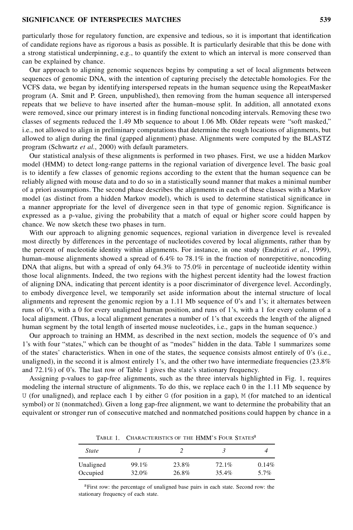particularly those for regulatory function, are expensive and tedious, so it is important that identification of candidate regions have as rigorous a basis as possible. It is particularly desirable that this be done with a strong statistical underpinning, e.g., to quantify the extent to which an interval is more conserved than can be explained by chance.

Our approach to aligning genomic sequences begins by computing a set of local alignments between sequences of genomic DNA, with the intention of capturing precisely the detectable homologies. For the VCFS data, we began by identifying interspersed repeats in the human sequence using the RepeatMasker program (A.Smit and P. Green, unpublished), then removing from the human sequence all interspersed repeats that we believe to have inserted after the human–mouse split. In addition, all annotated exons were removed, since our primary interest is in finding functional noncoding intervals. Removing these two classes of segments reduced the 1.49 Mb sequence to about 1.06 Mb. Older repeats were "soft masked," i.e., not allowed to align in preliminary computations that determine the rough locations of alignments, but allowed to align during the final (gapped alignment) phase. Alignments were computed by the BLASTZ program (Schwartz *et al.*, 2000) with default parameters.

Our statistical analysis of these alignments is performed in two phases. First, we use a hidden Markov model (HMM) to detect long-range patterns in the regional variation of divergence level. The basic goal is to identify a few classes of genomic regions according to the extent that the human sequence can be reliably aligned with mouse data and to do so in a statistically sound manner that makes a minimal number of a priori assumptions. The second phase describes the alignments in each of these classes with a Markov model (as distinct from a hidden Markov model), which is used to determine statistical significance in a manner appropriate for the level of divergence seen in that type of genomic region. Significance is expressed as a p-value, giving the probability that a match of equal or higher score could happen by chance. We now sketch these two phases in turn.

With our approach to aligning genomic sequences, regional variation in divergence level is revealed most directly by differences in the percentage of nucleotides covered by local alignments, rather than by the percent of nucleotide identity within alignments. For instance, in one study (Endrizzi *et al.*, 1999), human–mouse alignments showed a spread of 6.4% to 78.1% in the fraction of nonrepetitive, noncoding DNA that aligns, but with a spread of only 64.3% to 75.0% in percentage of nucleotide identity within those local alignments. Indeed, the two regions with the highest percent identity had the lowest fraction of aligning DNA, indicating that percent identity is a poor discriminator of divergence level. Accordingly, to embody divergence level, we temporarily set aside information about the internal structure of local alignments and represent the genomic region by a 1.11 Mb sequence of 0's and 1's; it alternates between runs of 0's, with a 0 for every unaligned human position, and runs of 1's, with a 1 for every column of a local alignment. (Thus, a local alignment generates a number of 1's that exceeds the length of the aligned human segment by the total length of inserted mouse nucleotides, i.e., gaps in the human sequence.)

Our approach to training an HMM, as described in the next section, models the sequence of 0's and 1's with four "states," which can be thought of as "modes" hidden in the data. Table 1 summarizes some of the states' characteristics. When in one of the states, the sequence consists almost entirely of 0's (i.e., unaligned), in the second it is almost entirely 1's, and the other two have intermediate frequencies  $(23.8\%$ and 72.1%) of 0's. The last row of Table 1 gives the state's stationary frequency.

Assigning p-values to gap-free alignments, such as the three intervals highlighted in Fig. 1, requires modeling the internal structure of alignments. To do this, we replace each 0 in the 1.11 Mb sequence by  $U$  (for unaligned), and replace each 1 by either G (for position in a gap),  $M$  (for matched to an identical symbol) or N (nonmatched). Given a long gap-free alignment, we want to determine the probability that an equivalent or stronger run of consecutive matched and nonmatched positions could happen by chance in a

| State     |       |       |       | 4     |
|-----------|-------|-------|-------|-------|
| Unaligned | 99.1% | 23.8% | 72.1% | 0.14% |
| Occupied  | 32.0% | 26.8% | 35.4% | 5.7%  |

TABLE 1. CHARACTERISTICS OF THE HMM'S FOUR STATES<sup>a</sup>

<sup>a</sup>First row: the percentage of unaligned base pairs in each state. Second row: the stationary frequency of each state.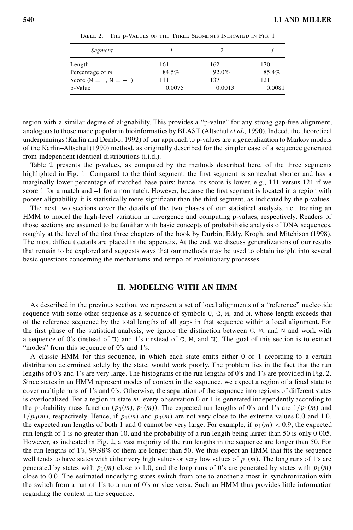| Segment                      |        |        |        |
|------------------------------|--------|--------|--------|
| Length                       | 161    | 162    | 170    |
| Percentage of M              | 84.5%  | 92.0%  | 85.4%  |
| Score ( $M = 1$ , $N = -1$ ) | 111    | 137    | 121    |
| p-Value                      | 0.0075 | 0.0013 | 0.0081 |

Table 2. The p-Values of the Three Segments Indicated in Fig. 1

region with a similar degree of alignability. This provides a "p-value" for any strong gap-free alignment, analogousto those made popular in bioinformatics by BLAST (Altschul *et al.*, 1990). Indeed, the theoretical underpinnings(Karlin and Dembo, 1992) of our approach to p-values are a generalization to Markov models of the Karlin–Altschul (1990) method, as originally described for the simpler case of a sequence generated from independent identical distributions (i.i.d.).

Table 2 presents the p-values, as computed by the methods described here, of the three segments highlighted in Fig. 1. Compared to the third segment, the first segment is somewhat shorter and has a marginally lower percentage of matched base pairs; hence, its score is lower, e.g., 111 versus 121 if we score 1 for a match and -1 for a nonmatch. However, because the first segment is located in a region with poorer alignability, it is statistically more significant than the third segment, as indicated by the p-values.

The next two sections cover the details of the two phases of our statistical analysis, i.e., training an HMM to model the high-level variation in divergence and computing p-values, respectively. Readers of those sections are assumed to be familiar with basic concepts of probabilistic analysis of DNA sequences, roughly at the level of the first three chapters of the book by Durbin, Eddy, Krogh, and Mitchison (1998). The most difficult details are placed in the appendix. At the end, we discuss generalizations of our results that remain to be explored and suggests ways that our methods may be used to obtain insight into several basic questions concerning the mechanisms and tempo of evolutionary processes.

# **II. MODELING WITH AN HMM**

As described in the previous section, we represent a set of local alignments of a "reference" nucleotide sequence with some other sequence as a sequence of symbols U, G, M, and N, whose length exceeds that of the reference sequence by the total lengths of all gaps in that sequence within a local alignment. For the first phase of the statistical analysis, we ignore the distinction between  $G$ , M, and N and work with a sequence of 0's (instead of U) and 1's (instead of G, M, and N). The goal of this section is to extract "modes" from this sequence of 0's and 1's.

A classic HMM for this sequence, in which each state emits either 0 or 1 according to a certain distribution determined solely by the state, would work poorly. The problem lies in the fact that the run lengths of 0's and 1's are very large. The histograms of the run lengths of 0's and 1's are provided in Fig. 2. Since states in an HMM represent modes of context in the sequence, we expect a region of a fixed state to cover multiple runs of 1's and 0's. Otherwise, the separation of the sequence into regions of different states is overlocalized. For a region in state  $m$ , every observation 0 or 1 is generated independently according to the probability mass function  $(p_0(m), p_1(m))$ . The expected run lengths of 0's and 1's are  $1/p_1(m)$  and  $1/p_0(m)$ , respectively. Hence, if  $p_1(m)$  and  $p_0(m)$  are not very close to the extreme values 0.0 and 1.0, the expected run lengths of both 1 and 0 cannot be very large. For example, if  $p_1(m) < 0.9$ , the expected run length of 1 is no greater than 10, and the probability of a run length being larger than 50 is only 0:005. However, as indicated in Fig. 2, a vast majority of the run lengths in the sequence are longer than 50. For the run lengths of 1's, 99.98% of them are longer than 50. We thus expect an HMM that fits the sequence well tends to have states with either very high values or very low values of  $p_1(m)$ . The long runs of 1's are generated by states with  $p_1(m)$  close to 1.0, and the long runs of 0's are generated by states with  $p_1(m)$ . close to 0:0. The estimated underlying states switch from one to another almost in synchronization with the switch from a run of 1's to a run of 0's or vice versa. Such an HMM thus provides little information regarding the context in the sequence.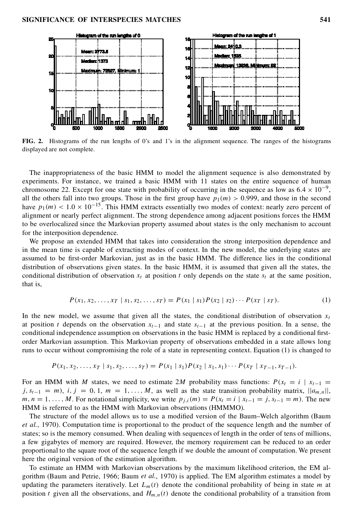

**FIG. 2.** Histograms of the run lengths of 0's and 1's in the alignment sequence. The ranges of the histograms displayed are not complete.

The inappropriateness of the basic HMM to model the alignment sequence is also demonstrated by experiments. For instance, we trained a basic HMM with 11 states on the entire sequence of human chromosome 22. Except for one state with probability of occurring in the sequence as low as  $6.4 \times 10^{-9}$ , all the others fall into two groups. Those in the first group have  $p_1(m) > 0.999$ , and those in the second have  $p_1(m) < 1.0 \times 10^{-15}$ . This HMM extracts essentially two modes of context: nearly zero percent of alignment or nearly perfect alignment. The strong dependence among adjacent positions forces the HMM to be overlocalized since the Markovian property assumed about states is the only mechanism to account for the interposition dependence.

We propose an extended HMM that takes into consideration the strong interposition dependence and in the mean time is capable of extracting modes of context. In the new model, the underlying states are assumed to be first-order Markovian, just as in the basic HMM. The difference lies in the conditional distribution of observations given states. In the basic HMM, it is assumed that given all the states, the conditional distribution of observation  $x_t$  at position t only depends on the state  $s_t$  at the same position, that is,

$$
P(x_1, x_2, \dots, x_T \mid s_1, s_2, \dots, s_T) = P(x_1 \mid s_1) P(x_2 \mid s_2) \cdots P(x_T \mid s_T).
$$
 (1)

In the new model, we assume that given all the states, the conditional distribution of observation  $x_t$ at position t depends on the observation  $x_{t-1}$  and state  $s_{t-1}$  at the previous position. In a sense, the conditional independence assumption on observations in the basic HMM is replaced by a conditional firstorder Markovian assumption. This Markovian property of observations embedded in a state allows long runs to occur without compromising the role of a state in representing context. Equation (1) is changed to

$$
P(x_1, x_2, \ldots, x_T \mid s_1, s_2, \ldots, s_T) = P(x_1 \mid s_1) P(x_2 \mid x_1, s_1) \cdots P(x_T \mid x_{T-1}, s_{T-1}).
$$

For an HMM with M states, we need to estimate 2M probability mass functions:  $P(x_t = i \mid x_{t-1} = j, s_{t-1} = m)$ ,  $i, j = 0, 1, m = 1, ..., M$ , as well as the state transition probability matrix,  $||a_{m,n}||$ ,  $j,m,n = 1, \ldots, M$ . For notational simplicity, we write  $p_{i,i}(m) = P(x_i = i \mid x_{i-1} = j, s_{i-1} = m)$ . The new HMM is referred to as the HMM with Markovian observations (HMMMO).

The structure of the model allows us to use a modified version of the Baum–Welch algorithm (Baum *et al.*, 1970). Computation time is proportional to the product of the sequence length and the number of states; so is the memory consumed. When dealing with sequences of length in the order of tens of millions, a few gigabytes of memory are required. However, the memory requirement can be reduced to an order proportional to the square root of the sequence length if we double the amount of computation. We present here the original version of the estimation algorithm.

To estimate an HMM with Markovian observations by the maximum likelihood criterion, the EM algorithm (Baum and Petrie, 1966; Baum *et al.*, 1970) is applied. The EM algorithm estimates a model by updating the parameters iteratively. Let  $L_m(t)$  denote the conditional probability of being in state m at position t given all the observations, and  $H_{m,n}(t)$  denote the conditional probability of a transition from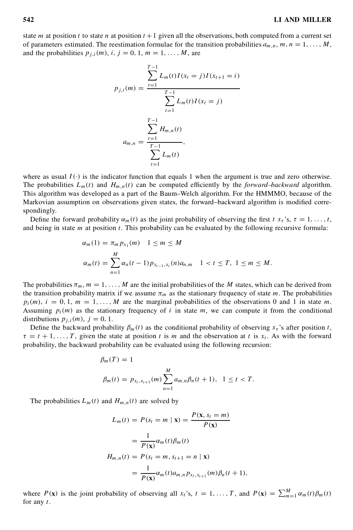#### **542 LI AND MILLER**

state m at position t to state n at position  $t + 1$  given all the observations, both computed from a current set of parameters estimated. The reestimation formulae for the transition probabilities  $a_{m,n}$ ,  $m, n = 1, ..., M$ , and the probabilities  $p_{j,i}(m), i, j = 0, 1, m = 1, ..., M$ , are

$$
p_{j,i}(m) = \frac{\sum_{t=1}^{T-1} L_m(t)I(x_t = j)I(x_{t+1} = i)}{\sum_{t=1}^{T-1} L_m(t)I(x_t = j)}
$$

$$
a_{m,n} = \frac{\sum_{t=1}^{T-1} H_{m,n}(t)}{\sum_{t=1}^{T-1} L_m(t)},
$$

where as usual  $I(\cdot)$  is the indicator function that equals 1 when the argument is true and zero otherwise. The probabilities  $L_m(t)$  and  $H_{m,n}(t)$  can be computed efficiently by the *forward–backward* algorithm. This algorithm was developed as a part of the Baum–Welch algorithm. For the HMMMO, because of the Markovian assumption on observations given states, the forward–backward algorithm is modified correspondingly.

Define the forward probability  $\alpha_m(t)$  as the joint probability of observing the first t  $x_{\tau}$ 's,  $\tau = 1, ..., t$ , and being in state m at position t. This probability can be evaluated by the following recursive formula:

$$
\alpha_m(1) = \pi_m p_{x_1}(m) \quad 1 \le m \le M
$$
  

$$
\alpha_m(t) = \sum_{n=1}^M \alpha_n(t-1) p_{x_{t-1}, x_t}(n) a_{n,m} \quad 1 < t \le T, \ 1 \le m \le M.
$$

The probabilities  $\pi_m$ ,  $m = 1, \ldots, M$  are the initial probabilities of the M states, which can be derived from the transition probability matrix if we assume  $\pi_m$  as the stationary frequency of state m. The probabilities  $p_i(m), i = 0, 1, m = 1, ..., M$  are the marginal probabilities of the observations 0 and 1 in state m.<br>Assuming  $p_i(m)$  as the stationary frequency of i in state m, we can compute it from the conditional distributions  $p_{i,i}(m)$ ,  $j = 0, 1$ .

Define the backward probability  $\beta_m(t)$  as the conditional probability of observing  $x_t$ 's after position t,  $\tau = t + 1, \ldots, T$ , given the state at position t is m and the observation at t is  $x_t$ . As with the forward probability, the backward probability can be evaluated using the following recursion:

$$
\beta_m(T) = 1
$$
  
\n
$$
\beta_m(t) = p_{x_t, x_{t+1}}(m) \sum_{n=1}^{M} a_{m,n} \beta_n(t+1), \quad 1 \le t < T.
$$

The probabilities  $L_m(t)$  and  $H_{m,n}(t)$  are solved by

$$
L_m(t) = P(s_t = m \mid \mathbf{x}) = \frac{P(\mathbf{x}, s_t = m)}{P(\mathbf{x})}
$$

$$
= \frac{1}{P(\mathbf{x})} \alpha_m(t) \beta_m(t)
$$

$$
H_{m,n}(t) = P(s_t = m, s_{t+1} = n \mid \mathbf{x})
$$

$$
= \frac{1}{P(\mathbf{x})} \alpha_m(t) a_{m,n} p_{x_t, x_{t+1}}(m) \beta_n(t+1),
$$

where  $P(\mathbf{x})$  is the joint probability of observing all  $x_t$ 's,  $t = 1, ..., T$ , and  $P(\mathbf{x}) = \sum_{m=1}^{M} \alpha_m(t) \beta_m(t)$ for any t.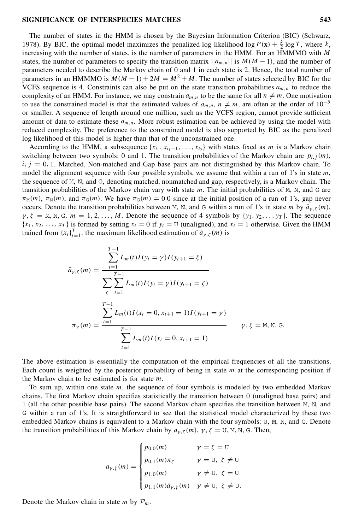The number of states in the HMM is chosen by the Bayesian Information Criterion (BIC) (Schwarz, 1978). By BIC, the optimal model maximizes the penalized log likelihood log  $P(\mathbf{x}) + \frac{k}{2} \log T$ , where k, increasing with the number of states, is the number of parameters in the HMM. For an HMMMO with  $M$ states, the number of parameters to specify the transition matrix  $||a_{m,n}||$  is  $M(M - 1)$ , and the number of parameters needed to describe the Markov chain of 0 and 1 in each state is 2. Hence, the total number of parameters in an HMMMO is  $M(M - 1) + 2M = M^2 + M$ . The number of states selected by BIC for the VCFS sequence is 4. Constraints can also be put on the state transition probabilities  $a_{m,n}$  to reduce the complexity of an HMM. For instance, we may constrain  $a_{m,n}$  to be the same for all  $n \neq m$ . One motivation to use the constrained model is that the estimated values of  $a_{m,n}$ ,  $n \neq m$ , are often at the order of  $10^{-5}$ or smaller. A sequence of length around one million, such as the VCFS region, cannot provide sufficient amount of data to estimate these  $a_{m,n}$ . More robust estimation can be achieved by using the model with reduced complexity. The preference to the constrained model is also supported by BIC as the penalized log likelihood of this model is higher than that of the unconstrained one.

According to the HMM, a subsequence  $\{x_1, x_{t_1+1}, \ldots, x_{t_2}\}$  with states fixed as m is a Markov chain switching between two symbols: 0 and 1. The transition probabilities of the Markov chain are  $p_{i,j}(m)$ ,  $i, j = 0, 1$ . Matched, Non-matched and Gap base pairs are not distinguished by this Markov chain. To model the alignment sequence with four possible symbols, we assume that within a run of 1's in state  $m$ , the sequence of M, N, and G, denoting matched, nonmatched and gap, respectively, is a Markov chain. The transition probabilities of the Markov chain vary with state m. The initial probabilities of  $M$ ,  $N$ , and G are  $\pi_M(m)$ ,  $\pi_N(m)$ , and  $\pi_G(m)$ . We have  $\pi_G(m) = 0.0$  since at the initial position of a run of 1's, gap never occurs. Denote the transition probabilities between M, N, and G within a run of 1's in state m by  $\bar{a}_{\nu,\zeta}(m)$  $\gamma, \zeta = M, N, G, m = 1, 2, \ldots, M$ . Denote the sequence of 4 symbols by  $\{y_1, y_2, \ldots, y_T\}$ . The sequence  $\{x_1, x_2, \ldots, x_T\}$  is formed by setting  $x_t = 0$  if  $y_t = U$  (unaligned), and  $x_t = 1$  otherwise. Given the HMM trained from  $\{x_t\}_{t=1}^T$ , the maximum likelihood estimation of  $\bar{a}_{\gamma,\zeta}(m)$  is

$$
\bar{a}_{\gamma,\zeta}(m) = \frac{\sum_{t=1}^{T-1} L_m(t)I(y_t = \gamma)I(y_{t+1} = \zeta)}{\sum_{\zeta} \sum_{t=1}^{T-1} L_m(t)I(y_t = \gamma)I(y_{t+1} = \zeta)}
$$
\n
$$
\pi_{\gamma}(m) = \frac{\sum_{t=1}^{T-1} L_m(t)I(x_t = 0, x_{t+1} = 1)I(y_{t+1} = \gamma)}{\sum_{t=1}^{T-1} L_m(t)I(x_t = 0, x_{t+1} = 1)} \qquad \gamma, \zeta = M, N, G.
$$

The above estimation is essentially the computation of the empirical frequencies of all the transitions. Each count is weighted by the posterior probability of being in state m at the corresponding position if the Markov chain to be estimated is for state  $m$ .

To sum up, within one state  $m$ , the sequence of four symbols is modeled by two embedded Markov chains. The first Markov chain specifies statistically the transition between  $0$  (unaligned base pairs) and 1 (all the other possible base pairs). The second Markov chain specifies the transition between M, N, and G within a run of 1's. It is straightforward to see that the statistical model characterized by these two embedded Markov chains is equivalent to a Markov chain with the four symbols: U, M, N, and G. Denote the transition probabilities of this Markov chain by  $a_{\gamma,\zeta}(m)$ ,  $\gamma, \zeta = \mathbb{U}, \mathbb{M}, \mathbb{N}, \mathbb{G}$ . Then,

$$
a_{\gamma,\zeta}(m) = \begin{cases} p_{0,0}(m) & \gamma = \zeta = 0 \\ p_{0,1}(m)\pi_{\zeta} & \gamma = 0, \ \zeta \neq 0 \\ p_{1,0}(m) & \gamma \neq 0, \ \zeta = 0 \\ p_{1,1}(m)\bar{a}_{\gamma,\zeta}(m) & \gamma \neq 0, \ \zeta \neq 0. \end{cases}
$$

Denote the Markov chain in state *m* by  $P_m$ .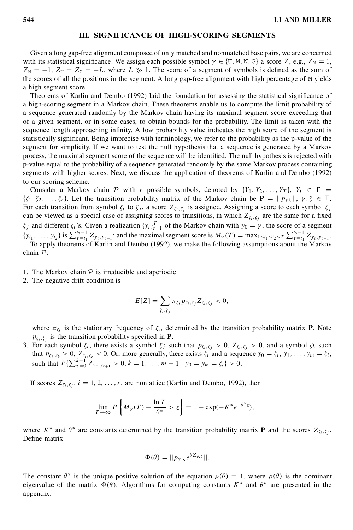## **III. SIGNIFICANCE OF HIGH-SCORING SEGMENTS**

Given a long gap-free alignment composed of only matched and nonmatched base pairs, we are concerned with its statistical significance. We assign each possible symbol  $\gamma \in \{U, M, N, G\}$  a score Z, e.g.,  $Z_M = 1$ ,  $Z_{\text{N}} = -1$ ,  $Z_{\text{U}} = Z_{\text{G}} = -L$ , where  $L \gg 1$ . The score of a segment of symbols is defined as the sum of the scores of all the positions in the segment. A long gap-free alignment with high percentage of M yields a high segment score.

Theorems of Karlin and Dembo (1992) laid the foundation for assessing the statistical significance of a high-scoring segment in a Markov chain. These theorems enable us to compute the limit probability of a sequence generated randomly by the Markov chain having its maximal segment score exceeding that of a given segment, or in some cases, to obtain bounds for the probability. The limit is taken with the sequence length approaching infinity. A low probability value indicates the high score of the segment is statistically significant. Being imprecise with terminology, we refer to the probability as the p-value of the segment for simplicity. If we want to test the null hypothesis that a sequence is generated by a Markov process, the maximal segment score of the sequence will be identified. The null hypothesis is rejected with p-value equal to the probability of a sequence generated randomly by the same Markov process containing segments with higher scores. Next, we discuss the application of theorems of Karlin and Dembo (1992) to our scoring scheme.

Consider a Markov chain  $P$  with r possible symbols, denoted by  $\{Y_1, Y_2, \ldots, Y_T\}$ ,  $Y_t \in \Gamma = \{\zeta_1, \zeta_2, \ldots, \zeta_r\}$ . Let the transition probability matrix of the Markov chain be  $P = ||p_{\gamma\zeta}||$ ,  $\gamma, \zeta \in \Gamma$ . For each transition from symbol  $\zeta_i$  to  $\zeta_j$ , a score  $Z_{\zeta_i,\zeta_j}$  is assigned. Assigning a score to each symbol  $\zeta_j$ can be viewed as a special case of assigning scores to transitions, in which  $Z_{\zeta_i,\zeta_j}$  are the same for a fixed  $\zeta_j$  and different  $\zeta_i$ 's. Given a realization  $\{y_t\}_{t=1}^T$  of the Markov chain with  $y_0 = \gamma$ , the score of a segment  ${y_{t_1}, \ldots, y_{t_2}}$  is  $\sum_{\tau=t_1}^{t_2-1} Z_{y_{\tau}, y_{\tau+1}}$ ; and the maximal segment score is  $M_{\gamma}(T) = \max_{1 \le t_1 \le t_2 \le T} \sum_{\tau=t_1}^{t_2-1} Z_{y_{\tau}, y_{\tau+1}}$ . To apply theorems of Karlin and Dembo (1992), we make the following assumptions about the Markov chain P:

- 1. The Markov chain  $P$  is irreducible and aperiodic.
- 2. The negative drift condition is

$$
E[Z] = \sum_{\zeta_i, \zeta_j} \pi_{\zeta_i} p_{\zeta_i, \zeta_j} Z_{\zeta_i, \zeta_j} < 0,
$$

where  $\pi_{\zeta_i}$  is the stationary frequency of  $\zeta_i$ , determined by the transition probability matrix **P**. Note  $p_{\zeta_i,\zeta_j}$  is the transition probability specified in **P**.

3. For each symbol  $\zeta_i$ , there exists a symbol  $\zeta_j$  such that  $p_{\zeta_i,\zeta_j} > 0$ ,  $Z_{\zeta_i,\zeta_j} > 0$ , and a symbol  $\zeta_k$  such that  $p_{\xi_i,\xi_k} > 0$ ,  $Z_{\xi_i,\xi_k} < 0$ . Or, more generally, there exists  $\zeta_i$  and a sequence  $y_0 = \zeta_i$ ,  $y_1, \ldots, y_m = \zeta_i$ , such that  $P\{\sum_{\tau=0}^{k-1} Z_{y_{\tau},y_{\tau+1}} > 0, k = 1,\ldots, m-1 \mid y_0 = y_m = \zeta_i\} > 0.$ 

If scores  $Z_{\zeta_i, \zeta_j}$ ,  $i = 1, 2, ..., r$ , are nonlattice (Karlin and Dembo, 1992), then

$$
\lim_{T \to \infty} P\left\{ M_{\gamma}(T) - \frac{\ln T}{\theta^*} > z \right\} = 1 - \exp(-K^* e^{-\theta^* z}),
$$

where  $K^*$  and  $\theta^*$  are constants determined by the transition probability matrix **P** and the scores  $Z_{\zeta_i,\zeta_j}$ . Define matrix

$$
\Phi(\theta) = ||p_{\gamma,\zeta}e^{\theta Z_{\gamma,\zeta}}||.
$$

The constant  $\theta^*$  is the unique positive solution of the equation  $\rho(\theta) = 1$ , where  $\rho(\theta)$  is the dominant eigenvalue of the matrix  $\Phi(\theta)$ . Algorithms for computing constants  $K^*$  and  $\theta^*$  are presented in the appendix.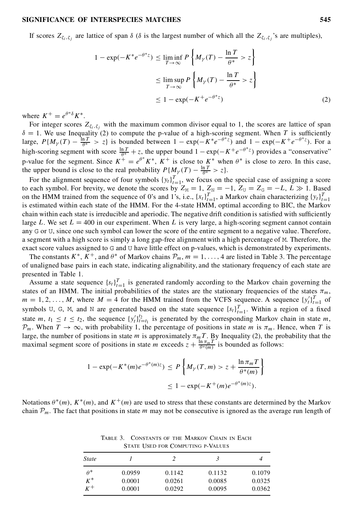If scores  $Z_{\zeta_i,\zeta_j}$  are lattice of span  $\delta$  ( $\delta$  is the largest number of which all the  $Z_{\zeta_i,\zeta_j}$ 's are multiples),

$$
1 - \exp(-K^*e^{-\theta^*z}) \le \liminf_{T \to \infty} P\left\{ M_\gamma(T) - \frac{\ln T}{\theta^*} > z \right\}
$$
  

$$
\le \limsup_{T \to \infty} P\left\{ M_\gamma(T) - \frac{\ln T}{\theta^*} > z \right\}
$$
  

$$
\le 1 - \exp(-K^+e^{-\theta^*z})
$$
 (2)

where  $K^+ = e^{\theta^*\delta} K^*$ .

For integer scores  $Z_{\zeta_i,\zeta_j}$  with the maximum common divisor equal to 1, the scores are lattice of span  $\delta = 1$ . We use Inequality (2) to compute the p-value of a high-scoring segment. When T is sufficiently large,  $P\{M_\gamma(T) - \frac{\ln T}{\theta^*} > z\}$  is bounded between  $1 - \exp(-K^*e^{-\theta^*z})$  and  $1 - \exp(-K^+e^{-\theta^*z})$ . For a high-scoring segment with score  $\frac{\ln T}{\theta^*} + z$ , the upper bound  $1 - \exp(-K^+ e^{-\theta^* z})$  provides a "conservative" p-value for the segment. Since  $K^+ = e^{\theta^*} K^*$ ,  $K^+$  is close to  $K^*$  when  $\theta^*$  is close to zero. In this case, the upper bound is close to the real probability  $P\{M_\gamma(T) - \frac{\ln T}{\theta^*} > z\}.$ 

For the alignment sequence of four symbols  $\{y_t\}_{t=1}^T$ , we focus on the special case of assigning a score to the angument sequence of four symbols  $\chi_{N}t_{I=1}$ , we focus on the special case of assigning a score to each symbol. For brevity, we denote the scores by  $Z_M = 1$ ,  $Z_N = -1$ ,  $Z_U = Z_G = -L$ ,  $L \gg 1$ . Based on the HMM trained from the sequence of 0's and 1's, i.e.,  $\{x_t\}_{t=1}^T$ , a Markov chain characterizing  $\{y_t\}_{t=1}^T$ is estimated within each state of the HMM. For the 4-state HMM, optimal according to BIC, the Markov chain within each state is irreducible and aperiodic. The negative drift condition is satisfied with sufficiently large L. We set  $L = 400$  in our experiment. When L is very large, a high-scoring segment cannot contain any G or U, since one such symbol can lower the score of the entire segment to a negative value. Therefore, a segment with a high score is simply a long gap-free alignment with a high percentage of M. Therefore, the exact score values assigned to G and U have little effect on p-values, which is demonstrated by experiments.

The constants  $K^*$ ,  $K^+$ , and  $\theta^*$  of Markov chains  $\mathcal{P}_m$ ,  $m = 1, \ldots, 4$  are listed in Table 3. The percentage of unaligned base pairs in each state, indicating alignability, and the stationary frequency of each state are presented in Table 1.

Assume a state sequence  $\{s_t\}_{t=1}^T$  is generated randomly according to the Markov chain governing the Assume a state sequence  $\{s_i\}_{i=1}^K$  is generated randomly according to the Markov chain governing the states of an HMM. The initial probabilities of the states are the stationary frequencies of the states  $\pi_m$ ,  $m = 1, 2, \dots, M$ , where  $M = 4$  for the HMM trained from the VCFS sequence. A sequence  $\{y_t^i\}_{t=1}^T$  of symbols U, G, M, and N are generated based on the state sequence  $\{s_t\}_{t=1}^T$ . Within a region of a fixed state m,  $t_1 \le t \le t_2$ , the sequence  $\{y'_t\}_{t=t_1}^{t_2}$  is generated by the corresponding Markov chain in state m,  $\mathcal{P}_m$ . When  $T \to \infty$ , with probability 1, the percentage of positions in state m is  $\pi_m$ . Hence, when T is large, the number of positions in state m is approximately  $\pi_m T$ . By Inequality (2), the probability that the maximal segment score of positions in state m exceeds  $z + \frac{\ln \pi_m T}{\theta^*(m)}$  is bounded as follows:

$$
1 - \exp(-K^*(m)e^{-\theta^*(m)z}) \le P\left\{M_\gamma(T,m) > z + \frac{\ln \pi_m T}{\theta^*(m)}\right\}
$$
  

$$
\le 1 - \exp(-K^+(m)e^{-\theta^*(m)z}).
$$

Notations  $\theta^*(m)$ ,  $K^*(m)$ , and  $K^+(m)$  are used to stress that these constants are determined by the Markov chain  $P_m$ . The fact that positions in state m may not be consecutive is ignored as the average run length of

| STATE USED FOR COMPUTING P-VALUES |        |        |        |        |
|-----------------------------------|--------|--------|--------|--------|
| <i>State</i>                      |        |        |        |        |
| $\theta^*$                        | 0.0959 | 0.1142 | 0.1132 | 0.1079 |
| $K^*$                             | 0.0001 | 0.0261 | 0.0085 | 0.0325 |
| $K^+$                             | 0.0001 | 0.0292 | 0.0095 | 0.0362 |

TABLE 3. CONSTANTS OF THE MARKOV CHAIN IN EACH  $\mathbf{S}$  State property proved point  $\mathbf{S}$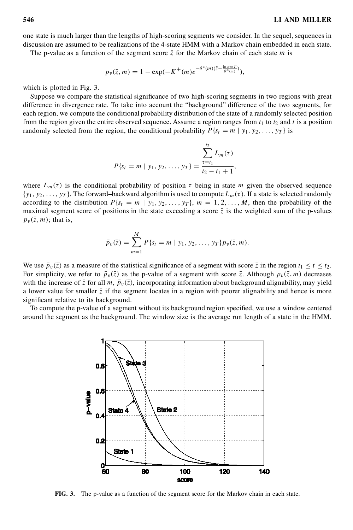one state is much larger than the lengths of high-scoring segments we consider. In the sequel, sequences in discussion are assumed to be realizations of the 4-state HMM with a Markov chain embedded in each state.

The p-value as a function of the segment score  $\bar{z}$  for the Markov chain of each state m is

$$
p_v(\bar{z}, m) = 1 - \exp(-K^+(m)e^{-\theta^*(m)(\bar{z}-\frac{\ln \pi m T}{\theta^*(m)})}),
$$

which is plotted in Fig. 3.

Suppose we compare the statistical significance of two high-scoring segments in two regions with great difference in divergence rate. To take into account the "background" difference of the two segments, for each region, we compute the conditional probability distribution of the state of a randomly selected position from the region given the entire observed sequence. Assume a region ranges from  $t_1$  to  $t_2$  and t is a position randomly selected from the region, the conditional probability  $P\{s_t = m \mid y_1, y_2, \ldots, y_T\}$  is

$$
P\{s_t = m \mid y_1, y_2, \dots, y_T\} = \frac{\sum_{\tau=t_1}^{t_2} L_m(\tau)}{t_2 - t_1 + 1},
$$

where  $L_m(\tau)$  is the conditional probability of position  $\tau$  being in state m given the observed sequence  $\{y_1, y_2, \ldots, y_T\}$ . The forward–backward algorithm is used to compute  $L_m(\tau)$ . If a state is selected randomly according to the distribution  $P\{s_t = m \mid y_1, y_2, \ldots, y_T\}$ ,  $m = 1, 2, \ldots, M$ , then the probability of the maximal segment score of positions in the state exceeding a score  $\bar{z}$  is the weighted sum of the p-values  $p_v(\bar{z},m)$ ; that is,

$$
\bar{p}_v(\bar{z}) = \sum_{m=1}^M P\{s_t = m \mid y_1, y_2, \dots, y_T\} p_v(\bar{z}, m).
$$

We use  $\bar{p}_v(\bar{z})$  as a measure of the statistical significance of a segment with score  $\bar{z}$  in the region  $t_1 \le t \le t_2$ .<br>For simplicity, we refer to  $\bar{p}_v(\bar{z})$  as the p-value of a segment with score  $\bar{z}$ . Alth with the increase of  $\bar{z}$  for all m,  $\bar{p}_v(\bar{z})$ , incorporating information about background alignability, may yield a lower value for smaller  $\bar{z}$  if the segment locates in a region with poorer alignability and hence is more significant relative to its background.

To compute the p-value of a segment without its background region specified, we use a window centered around the segment as the background. The window size is the average run length of a state in the HMM.



**FIG. 3.** The p-value as a function of the segment score for the Markov chain in each state.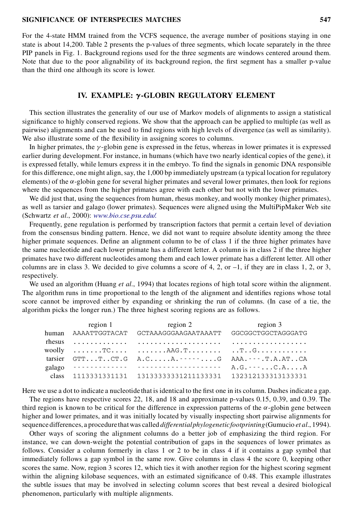For the 4-state HMM trained from the VCFS sequence, the average number of positions staying in one state is about 14,200. Table 2 presents the p-values of three segments, which locate separately in the three PIP panels in Fig. 1. Background regions used for the three segments are windows centered around them. Note that due to the poor alignability of its background region, the first segment has a smaller p-value than the third one although its score is lower.

## **IV. EXAMPLE:** *g***-GLOBIN REGULATORY ELEMENT**

This section illustrates the generality of our use of Markov models of alignments to assign a statistical significance to highly conserved regions. We show that the approach can be applied to multiple (as well as pairwise) alignments and can be used to find regions with high levels of divergence (as well as similarity). We also illustrate some of the flexibility in assigning scores to columns.

In higher primates, the  $\gamma$ -globin gene is expressed in the fetus, whereas in lower primates it is expressed earlier during development. For instance, in humans (which have two nearly identical copies of the gene), it is expressed fetally, while lemurs express it in the embryo. To find the signals in genomic DNA responsible for this difference, one might align, say, the 1,000 bp immediately upstream (a typical location for regulatory elements) of the  $\alpha$ -globin gene for several higher primates and several lower primates, then look for regions where the sequences from the higher primates agree with each other but not with the lower primates.

We did just that, using the sequences from human, rhesus monkey, and woolly monkey (higher primates), as well as tarsier and galago (lower primates). Sequences were aligned using the MultiPipMaker Web site (Schwartz *et al.*, 2000): *[www.bio.cse.psu.edu/](http://www.bio.cse.psu.edu/)*.

Frequently, gene regulation is performed by transcription factors that permit a certain level of deviation from the consensus binding pattern. Hence, we did not want to require absolute identity among the three higher primate sequences. Define an alignment column to be of class 1 if the three higher primates have the same nucleotide and each lower primate has a different letter. A column is in class 2 if the three higher primates have two different nucleotides among them and each lower primate has a different letter. All other columns are in class 3. We decided to give columns a score of 4, 2, or –1, if they are in class 1, 2, or 3, respectively.

We used an algorithm (Huang *et al.*, 1994) that locates regions of high total score within the alignment. The algorithm runs in time proportional to the length of the alignment and identifies regions whose total score cannot be improved either by expanding or shrinking the run of columns. (In case of a tie, the algorithm picks the longer run.) The three highest scoring regions are as follows.

|       | region 1      | region 2                                                                                                                                                       | region 3                                                |
|-------|---------------|----------------------------------------------------------------------------------------------------------------------------------------------------------------|---------------------------------------------------------|
| human | AAAATTGGTACAT | GCTAAAGGGAAGAATAAATT                                                                                                                                           | GGCGGCTGGCTAGGGATG                                      |
|       |               | woolly $\dots \dots \text{TC} \dots \dots \dots \dots \text{AAG} \cdot \text{T} \dots \dots \dots \dots \dots \text{T} \dots \text{G} \dots \dots \dots \dots$ |                                                         |
|       |               | tarsier GTTTCT.G A.CA. - - - - G AAA. - - - .T.A.ATCA                                                                                                          |                                                         |
|       |               |                                                                                                                                                                | $A.G. \cdot \cdot \cdot \cdot \cdot \cdot C.A. \dots A$ |
|       |               | class 1113331331131 13133333331211133331 132312133313133331                                                                                                    |                                                         |

Here we use a dot to indicate a nucleotide that is identical to the first one in its column. Dashes indicate a gap.

The regions have respective scores 22, 18, and 18 and approximate p-values 0.15, 0.39, and 0.39. The third region is known to be critical for the difference in expression patterns of the  $\alpha$ -globin gene between higher and lower primates, and it was initially located by visually inspecting short pairwise alignments for sequencedifferences, a procedure thatwas called *differentialphylogeneticfootprinting*(Gumucio *et al.*, 1994).

Other ways of scoring the alignment columns do a better job of emphasizing the third region. For instance, we can down-weight the potential contribution of gaps in the sequences of lower primates as follows. Consider a column formerly in class 1 or 2 to be in class 4 if it contains a gap symbol that immediately follows a gap symbol in the same row. Give columns in class 4 the score 0, keeping other scores the same. Now, region 3 scores 12, which ties it with another region for the highest scoring segment within the aligning kilobase sequences, with an estimated significance of 0.48. This example illustrates the subtle issues that may be involved in selecting column scores that best reveal a desired biological phenomenon, particularly with multiple alignments.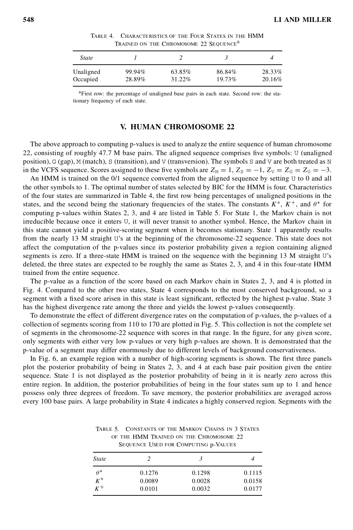| State     |        |        |        | 4      |
|-----------|--------|--------|--------|--------|
| Unaligned | 99.94% | 63.85% | 86.84% | 28.33% |
| Occupied  | 28.89% | 31.22% | 19.73% | 20.16% |

Table 4. Characteristics of the Four States in the HMM TRAINED ON THE CHROMOSOME 22 SEQUENCE<sup>a</sup>

<sup>a</sup>First row: the percentage of unaligned base pairs in each state. Second row: the stationary frequency of each state.

## **V. HUMAN CHROMOSOME 22**

The above approach to computing p-values is used to analyze the entire sequence of human chromosome 22, consisting of roughly 47.7 M base pairs. The aligned sequence comprises five symbols:  $U$  (unaligned position), G (gap), M (match), S (transition), and V (transversion). The symbols S and V are both treated as N in the VCFS sequence. Scores assigned to these five symbols are  $Z_M = 1$ ,  $Z_S = -1$ ,  $Z_V = Z_G = Z_U = -3$ .

An HMM is trained on the 0/1 sequence converted from the aligned sequence by setting U to 0 and all the other symbols to 1. The optimal number of states selected by BIC for the HMM is four. Characteristics of the four states are summarized in Table 4, the first row being percentages of unaligned positions in the states, and the second being the stationary frequencies of the states. The constants  $K^*$ ,  $K^+$ , and  $\theta^*$  for computing p-values within States 2, 3, and 4 are listed in Table 5. For State 1, the Markov chain is not irreducible because once it enters U, it will never transit to another symbol. Hence, the Markov chain in this state cannot yield a positive-scoring segment when it becomes stationary. State 1 apparently results from the nearly 13 M straight U's at the beginning of the chromosome-22 sequence. This state does not affect the computation of the p-values since its posterior probability given a region containing aligned segments is zero. If a three-state HMM is trained on the sequence with the beginning 13 M straight U's deleted, the three states are expected to be roughly the same as States 2, 3, and 4 in this four-state HMM trained from the entire sequence.

The p-value as a function of the score based on each Markov chain in States 2, 3, and 4 is plotted in Fig. 4. Compared to the other two states, State 4 corresponds to the most conserved background, so a segment with a fixed score arisen in this state is least significant, reflected by the highest p-value. State 3 has the highest divergence rate among the three and yields the lowest p-values consequently.

To demonstrate the effect of different divergence rates on the computation of p-values, the p-values of a collection of segments scoring from 110 to 170 are plotted in Fig. 5. This collection is not the complete set of segments in the chromosome-22 sequence with scores in that range. In the figure, for any given score, only segments with either very low p-values or very high p-values are shown. It is demonstrated that the p-value of a segment may differ enormously due to different levels of background conservativeness.

In Fig. 6, an example region with a number of high-scoring segments is shown. The first three panels plot the posterior probability of being in States 2, 3, and 4 at each base pair position given the entire sequence. State 1 is not displayed as the posterior probability of being in it is nearly zero across this entire region. In addition, the posterior probabilities of being in the four states sum up to 1 and hence possess only three degrees of freedom. To save memory, the posterior probabilities are averaged across every 100 base pairs. A large probability in State 4 indicates a highly conserved region. Segments with the

| TABLE 5. CONSTANTS OF THE MARKOV CHAINS IN 3 STATES |
|-----------------------------------------------------|
| OF THE HMM TRAINED ON THE CHROMOSOME 22             |
| SEQUENCE USED FOR COMPUTING p-VALUES                |

| <i>State</i> |        |        |        |
|--------------|--------|--------|--------|
| $\theta^*$   | 0.1276 | 0.1298 | 0.1115 |
| $K^*$        | 0.0089 | 0.0028 | 0.0158 |
| $K^+$        | 0.0101 | 0.0032 | 0.0177 |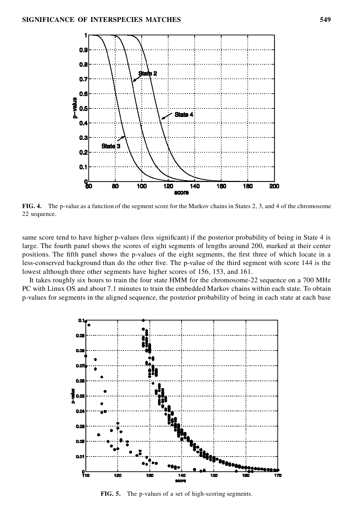

**FIG. 4.** The p-value as a function of the segment score for the Markov chains in States 2, 3, and 4 of the chromosome 22 sequence.

same score tend to have higher p-values (less significant) if the posterior probability of being in State 4 is large. The fourth panel shows the scores of eight segments of lengths around 200, marked at their center positions. The fifth panel shows the p-values of the eight segments, the first three of which locate in a less-conserved background than do the other five. The p-value of the third segment with score 144 is the lowest although three other segments have higher scores of 156, 153, and 161.

It takes roughly six hours to train the four state HMM for the chromosome-22 sequence on a 700 MHz PC with Linux OS and about 7:1 minutes to train the embedded Markov chains within each state. To obtain p-values for segments in the aligned sequence, the posterior probability of being in each state at each base



**FIG. 5.** The p-values of a set of high-scoring segments.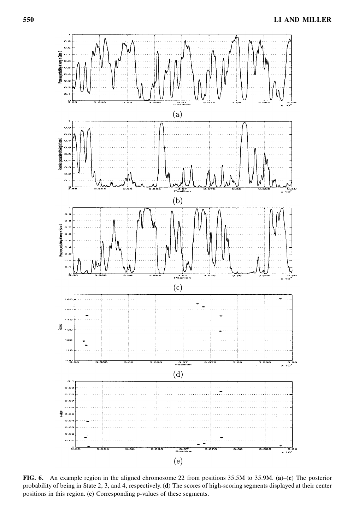

**FIG. 6.** An example region in the aligned chromosome 22 from positions 35.5M to 35.9M. (**a**)–(**c**) The posterior probability of being in State 2, 3, and 4, respectively.(**d**) The scores of high-scoring segments displayed at their center positions in this region. (**e**) Corresponding p-values of these segments.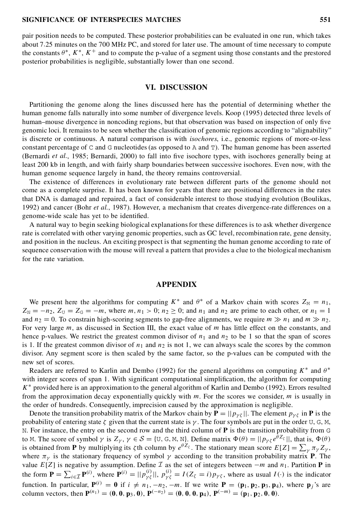pair position needs to be computed. These posterior probabilities can be evaluated in one run, which takes about 7:25 minutes on the 700 MHz PC, and stored for later use. The amount of time necessary to compute the constants  $\theta^*$ ,  $K^*$ ,  $K^+$  and to compute the p-value of a segment using those constants and the prestored posterior probabilities is negligible, substantially lower than one second.

## **VI. DISCUSSION**

Partitioning the genome along the lines discussed here has the potential of determining whether the human genome falls naturally into some number of divergence levels. Koop (1995) detected three levels of human–mouse divergence in noncoding regions, but that observation was based on inspection of only five genomic loci. It remains to be seen whether the classification of genomic regions according to "alignability" is discrete or continuous. A natural comparison is with *isochores*, i.e., genomic regions of more-or-less constant percentage of C and G nucleotides (as opposed to A and T). The human genome has been asserted (Bernardi *et al.*, 1985; Bernardi, 2000) to fall into five isochore types, with isochores generally being at least 200 kb in length, and with fairly sharp boundaries between successive isochores. Even now, with the human genome sequence largely in hand, the theory remains controversial.

The existence of differences in evolutionary rate between different parts of the genome should not come as a complete surprise. It has been known for years that there are positional differences in the rates that DNA is damaged and repaired, a fact of considerable interest to those studying evolution (Boulikas, 1992) and cancer (Bohr *et al.*, 1987). However, a mechanism that creates divergence-rate differences on a genome-wide scale has yet to be identified.

A natural way to begin seeking biological explanationsfor these differences is to ask whether divergence rate is correlated with other varying genomic properties, such as GC level, recombination rate, gene density, and position in the nucleus. An exciting prospect is that segmenting the human genome according to rate of sequence conservation with the mouse will reveal a pattern that provides a clue to the biological mechanism for the rate variation.

## **APPENDIX**

We present here the algorithms for computing  $K^*$  and  $\theta^*$  of a Markov chain with scores  $Z_M = n_1$ ,  $Z_N = -n_2$ ,  $Z_U = Z_G = -m$ , where  $m, n_1 > 0$ ;  $n_2 \ge 0$ ; and  $n_1$  and  $n_2$  are prime to each other, or  $n_1 = 1$ and  $n_2 = 0$ . To constrain high-scoring segments to gap-free alignments, we require  $m \gg n_1$  and  $m \gg n_2$ .<br>For very large m, as discussed in Section III, the exact value of m has little effect on the constants, and hence p-values. We restrict the greatest common divisor of  $n_1$  and  $n_2$  to be 1 so that the span of scores is 1. If the greatest common divisor of  $n_1$  and  $n_2$  is not 1, we can always scale the scores by the common divisor. Any segment score is then scaled by the same factor, so the p-values can be computed with the new set of scores.

Readers are referred to Karlin and Dembo (1992) for the general algorithms on computing  $K^*$  and  $\theta^*$ with integer scores of span 1. With significant computational simplification, the algorithm for computing  $K^*$  provided here is an approximation to the general algorithm of Karlin and Dembo (1992). Errors resulted from the approximation decay exponentially quickly with  $m$ . For the scores we consider,  $m$  is usually in the order of hundreds. Consequently, imprecision caused by the approximation is negligible.

Denote the transition probability matrix of the Markov chain by  $\mathbf{P} = ||p_{\gamma\xi}||$ . The element  $p_{\gamma\xi}$  in **P** is the probability of entering state  $\zeta$  given that the current state is  $\gamma$ . The four symbols are put in the order U, G, M, N. For instance, the entry on the second row and the third column of **P** is the transition probability from G to M. The score of symbol  $\gamma$  is  $Z_{\gamma}$ ,  $\gamma \in S = \{U, G, M, N\}$ . Define matrix  $\Phi(\theta) = ||p_{\gamma\xi}e^{\theta Z_{\zeta}}||$ , that is,  $\Phi(\theta)$ is obtained from **P** by multiplying its  $\zeta$ th column by  $e^{\theta Z_{\zeta}}$ . The stationary mean score  $E[Z] = \sum_{\gamma} \pi_{\gamma} Z_{\gamma}$ where  $\pi_{\gamma}$  is the stationary frequency of symbol  $\gamma$  according to the transition probability matrix **P**. The value  $E[Z]$  is negative by assumption. Define I as the set of integers between  $-m$  and  $n_1$ . Partition **P** in the form  $\mathbf{P} = \sum_{i \in \mathcal{I}} \mathbf{P}^{(i)}$ , where  $\mathbf{P}^{(i)} = ||p_{\gamma \zeta}^{(i)}||$ ,  $\begin{aligned} \binom{i}{\gamma \zeta} ||, \ p_{\gamma \zeta}^{(i)} = I(Z_{\zeta} = i) p_{\gamma \zeta}, \ \text{where as usual } I(\cdot) \text{ is the indicator} \end{aligned}$ function. In particular,  $P^{(i)} = 0$  if  $i \neq n_1, -n_2, -m$ . If we write  $P = (\mathbf{p}_1, \mathbf{p}_2, \mathbf{p}_3, \mathbf{p}_4)$ , where  $\mathbf{p}_j$ 's are column vectors, then  $\mathbf{P}^{(n_1)} = (0, 0, \mathbf{p}_3, 0), \mathbf{P}^{(-n_2)} = (0, 0, 0, \mathbf{p}_4), \mathbf{P}^{(-m)} = (\mathbf{p}_1, \mathbf{p}_2, 0, 0).$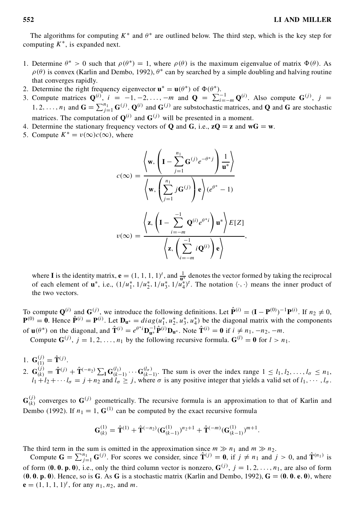The algorithms for computing  $K^*$  and  $\theta^*$  are outlined below. The third step, which is the key step for computing  $K^*$ , is expanded next.

- 1. Determine  $\theta^* > 0$  such that  $\rho(\theta^*) = 1$ , where  $\rho(\theta)$  is the maximum eigenvalue of matrix  $\Phi(\theta)$ . As  $\rho(\theta)$  is convex (Karlin and Dembo, 1992),  $\theta^*$  can by searched by a simple doubling and halving routine that converges rapidly.
- 2. Determine the right frequency eigenvector  $\mathbf{u}^* = \mathbf{u}(\theta^*)$  of  $\Phi(\theta^*)$ .
- 3. Compute matrices  $\mathbf{Q}^{(i)}$ ,  $i = -1, -2, ..., -m$  and  $\mathbf{Q} = \sum_{i=-m}^{-1} \mathbf{Q}^{(i)}$ . Also compute  $\mathbf{G}^{(j)}$ ,  $j = 1, 2, ..., n_1$  and  $\mathbf{G} = \sum_{j=1}^{n_1} \mathbf{G}^{(j)}$ .  $\mathbf{Q}^{(i)}$  and  $\mathbf{G}^{(j)}$  are substochastic matrices, a matrices. The computation of  $\mathbf{Q}^{(i)}$  and  $\mathbf{G}^{(j)}$  will be presented in a moment.
- 4. Determine the stationary frequency vectors of **Q** and **G**, i.e.,  $zQ = z$  and  $wG = w$ .<br>5. Compute  $K^* = v(\infty)c(\infty)$ , where
- 

$$
c(\infty) = \frac{\left\langle \mathbf{w}, \left( \mathbf{I} - \sum_{j=1}^{n_1} \mathbf{G}^{(j)} e^{-\theta^* j} \right) \frac{1}{\mathbf{u}^*} \right\rangle}{\left\langle \mathbf{w}, \left( \sum_{j=1}^{n_1} j \mathbf{G}^{(j)} \right) \mathbf{e} \right\rangle (e^{\theta^*} - 1)}
$$

$$
v(\infty) = \frac{\left\langle \mathbf{z}, \left( \mathbf{I} - \sum_{i=-m}^{-1} \mathbf{Q}^{(i)} e^{\theta^* i} \right) \mathbf{u}^* \right\rangle E[Z]}{\left\langle \mathbf{z}, \left( \sum_{i=-m}^{-1} i \mathbf{Q}^{(i)} \right) \mathbf{e} \right\rangle},
$$

where **I** is the identity matrix,  $\mathbf{e} = (1, 1, 1, 1)^t$ , and  $\frac{1}{\mathbf{u}^*}$  denotes the vector formed by taking the reciprocal of each element of  $\mathbf{u}^*$ , i.e.,  $(1/u_1^*, 1/u_2^*, 1/u_3^*, 1/u_4^*)^t$ . The notation  $\langle \cdot, \cdot \rangle$  means the inner product of the two vectors.

To compute  $\mathbf{Q}^{(i)}$  and  $\mathbf{G}^{(j)}$ , we introduce the following definitions. Let  $\hat{\mathbf{P}}^{(i)} = (\mathbf{I} - \mathbf{P}^{(0)})^{-1} \mathbf{P}^{(i)}$ . If  $n_2 \neq 0$ ,  $\mathbf{P}^{(0)} = \mathbf{0}$ . Hence  $\hat{\mathbf{P}}^{(i)} = \mathbf{P}^{(i)}$ . Let  $\mathbf{D}_{\mathbf{u}^*} = diag(u_1^*, u_2^*, u_3^*, u_4^*)$  be the diagonal matrix with the components of  $\mathbf{u}(\theta^*)$  on the diagonal, and  $\mathbf{\hat{T}}^{(i)} = e^{\theta^*i} \mathbf{D}_{\mathbf{u}^*}^{-1} \mathbf{\hat{P}}^{(i)} \mathbf{D}_{\mathbf{u}^*}$ . Note  $\mathbf{\hat{T}}^{(i)} = \mathbf{0}$  if  $i \neq n_1, -n_2, -m$ .

Compute  $G^{(j)}$ ,  $j = 1, 2, ..., n_1$  by the following recursive formula.  $G^{(l)} = 0$  for  $l > n_1$ .

1.  $\mathbf{G}_{(1)}^{(j)} = \hat{\mathbf{T}}^{(j)}$ . 2.  $\mathbf{G}_{(k)}^{(1)} = \hat{\mathbf{T}}^{(j)} + \hat{\mathbf{T}}^{(-n_2)} \sum_{\mathbf{l}} \mathbf{G}_{(k-1)}^{(l_1)} \cdots \mathbf{G}_{(k-1)}^{(l_{\sigma})}$ . The sum is over the index range  $1 \leq l_1, l_2, \ldots, l_{\sigma} \leq n_1$ ,  $l_1 + l_2 + \cdots + l_{\sigma} = j + n_2$  and  $l_{\sigma} \geq j$ , where  $\sigma$  is any positive integer that yields a valid set of  $l_1, \cdots, l_{\sigma}$ .

 $\mathbf{G}_{(k)}^{(j)}$  converges to  $\mathbf{G}^{(j)}$  geometrically. The recursive formula is an approximation to that of Karlin and Dembo (1992). If  $n_1 = 1$ ,  $\mathbf{G}^{(1)}$  can be computed by the exact recursive formula

$$
\mathbf{G}_{(k)}^{(1)} = \hat{\mathbf{T}}^{(1)} + \hat{\mathbf{T}}^{(-n_2)} (\mathbf{G}_{(k-1)}^{(1)})^{n_2+1} + \hat{\mathbf{T}}^{(-m)} (\mathbf{G}_{(k-1)}^{(1)})^{m+1}.
$$

The third term in the sum is omitted in the approximation since  $m \gg n_1$  and  $m \gg n_2$ .<br>Compute  $\mathbf{G} = \sum_{j=1}^{n_1} \mathbf{G}^{(j)}$ . For scores we consider, since  $\mathbf{\hat{T}}^{(j)} = \mathbf{0}$ , if  $j \neq n_1$  and  $j >$ (*i*). For scores we consider, since  $\hat{\mathbf{T}}^{(j)} = \mathbf{0}$ , if  $j \neq n_1$  and  $j > 0$ , and  $\hat{\mathbf{T}}^{(n_1)}$  is of form  $(0, 0, p, 0)$ , i.e., only the third column vector is nonzero,  $G^{(j)}$ ,  $j = 1, 2, ..., n_1$ , are also of form  $(0, 0, p, 0)$ . Hence, so is **G**. As **G** is a stochastic matrix (Karlin and Dembo, 1992),  $G = (0, 0, e, 0)$ , where  ${\bf e} = (1, 1, 1, 1)^t$ , for any  $n_1, n_2$ , and m.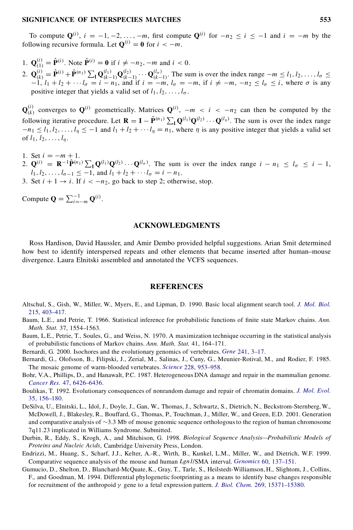To compute  $\mathbf{Q}^{(i)}$ ,  $i = -1, -2, \ldots, -m$ , first compute  $\mathbf{Q}^{(i)}$  for  $-n_2 \le i \le -1$  and  $i = -m$  by the following recursive formula. Let  $\mathbf{Q}^{(i)} = \mathbf{0}$  for  $i < -m$ .

- 1.  $\mathbf{Q}_{(1)}^{(i)} = \hat{\mathbf{P}}^{(i)}$ . Note  $\hat{\mathbf{P}}^{(i)} = \mathbf{0}$  if  $i \neq -n_2, -m$  and  $i < 0$ .
- 2.  $\mathbf{Q}_{(k)}^{(i)} = \hat{\mathbf{P}}^{(i)} + \hat{\mathbf{P}}^{(n_1)} \sum_{k} \mathbf{Q}_{(k-1)}^{(l_1)} \mathbf{Q}_{(k-1)}^{(l_2)}$  $\mathbf{Q}_{(k-1)}^{(l_2)} \cdots \mathbf{Q}_{(k-1)}^{(l_{\sigma})}$ .  $(k_{\sigma}^{(l_{\sigma})})$ . The sum is over the index range  $-m \leq l_1, l_2, \ldots, l_{\sigma} \leq l_1, l_2, \ldots, l_{\sigma} \leq l_{\sigma}$  $-1$ ,  $l_1 + l_2 + \cdots l_\sigma = i - n_1$ , and if  $i = -m$ ,  $l_\sigma = -m$ , if  $i \neq -m$ ,  $-n_2 \leq l_\sigma \leq i$ , where  $\sigma$  is any positive integer that yields a valid set of  $l_1, l_2, \ldots, l_\sigma$ .

 $\mathbf{Q}_{(k)}^{(i)}$  converges to  $\mathbf{Q}^{(i)}$  geometrically. Matrices  $\mathbf{Q}^{(i)}$ ,  $-m < i < -n_2$  can then be computed by the following iterative procedure. Let  $\mathbf{R} = \mathbf{I} - \hat{\mathbf{P}}^{(n_1)} \sum_{l} \mathbf{Q}^{(l_1)} \mathbf{Q}^{(l_2)} \cdots \mathbf{Q}^{(l_n)}$ . The sum is over the index range  $-n_1 \le l_1, l_2, \ldots, l_n \le -1$  and  $l_1 + l_2 + \cdots + l_n = n_1$ , where  $\eta$  is any positive integer that yields a valid set of  $l_1, l_2, \ldots, l_n$ .

- 1. Set  $i = -m + 1$ .
- 2.  ${\bf Q}^{(i)} = {\bf R}^{-1} \hat{\bf P}^{(n_1)} \sum_{{\bf l}} {\bf Q}^{(l_1)} {\bf Q}^{(l_2)} \cdots {\bf Q}^{(l_\sigma)}$ . The sum is over the index range  $i n_1 \le l_\sigma \le i 1$ ,  $l_1, l_2, \ldots, l_{\sigma-1} \leq -1$ , and  $l_1 + l_2 + \cdots l_{\sigma} = i - n_1$ .<br>3. Set  $i + 1 \rightarrow i$ . If  $i < -n_2$ , go back to step 2; otherwise, stop.
- 

Compute  $\mathbf{Q} = \sum_{i=-m}^{-1} \mathbf{Q}^{(i)}$ .

## **ACKNOWLEDGMENTS**

Ross Hardison, David Haussler, and Amir Dembo provided helpful suggestions. Arian Smit determined how best to identify interspersed repeats and other elements that became inserted after human–mouse divergence. Laura Elnitski assembled and annotated the VCFS sequences.

## **REFERENCES**

- Altschul, S., Gish, W., Miller, W., Myers, E., and Lipman, D. 1990. Basic local alignment search tool. *J. [Mol.](http://www.ingentaselect.com/rpsv/cgi-bin/linker?ext=a&reqidx=/0022-2836^28^29215L.403[aid=36481]) Biol.* 215, [403–417.](http://www.ingentaselect.com/rpsv/cgi-bin/linker?ext=a&reqidx=/0022-2836^28^29215L.403[aid=36481])
- Baum, L.E., and Petrie, T. 1966. Statistical inference for probabilistic functions of nite state Markov chains. *Ann. Math. Stat.* 37, 1554–1563.
- Baum, L.E., Petrie, T., Soules, G., and Weiss, N. 1970. A maximization technique occurring in the statistical analysis of probabilistic functions of Markov chains. *Ann. Math. Stat.* 41, 164–171.
- Bernardi, G. 2000. Isochores and the evolutionary genomics of vertebrates. *Gene* 241, [3–17.](http://www.ingentaselect.com/rpsv/cgi-bin/linker?ext=a&reqidx=/0378-1119^28^29241L.3[aid=948383])
- Bernardi, G., Olofsson, B., Filipski, J., Zerial, M., Salinas, J., Cuny, G., Meunier-Rotival, M., and Rodier, F. 1985. The mosaic genome of warm-blooded vertebrates. *Science* 228, [953–958.](http://www.ingentaselect.com/rpsv/cgi-bin/linker?ext=a&reqidx=/0036-8075^28^29228L.953[aid=193205])
- Bohr, V.A., Phillips, D., and Hanawalt, P.C. 1987. Heterogeneous DNA damage and repair in the mammalian genome. *Cancer Res.* 47, [6426–6436.](http://www.ingentaselect.com/rpsv/cgi-bin/linker?ext=a&reqidx=/0008-5472^28^2947L.6426[aid=736616])
- Boulikas, T. 1992. Evolutionary consequences of nonrandom damage and repair of chromatin domains. *J. Mol. [Evol.](http://www.ingentaselect.com/rpsv/cgi-bin/linker?ext=a&reqidx=/0022-2844^28^2935L.156[aid=2893258])* 35, [156–180.](http://www.ingentaselect.com/rpsv/cgi-bin/linker?ext=a&reqidx=/0022-2844^28^2935L.156[aid=2893258])
- DeSilva, U., Elnitski, L., Idol, J., Doyle, J., Gan, W., Thomas, J., Schwartz, S., Dietrich, N., Beckstrom-Sternberg, W., McDowell, J., Blakesley, R., Bouffard, G., Thomas, P., Touchman, J., Miller, W., and Green, E.D. 2001. Generation and comparative analysis of  $\sim$ 3.3 Mb of mouse genomic sequence orthologous to the region of human chromosome 7q11.23 implicated in Williams Syndrome. Submitted.
- Durbin, R., Eddy, S., Krogh, A., and Mitchison, G. 1998. *Biological Sequence Analysis—Probabilistic Models of Proteins and Nucleic Acids*, Cambridge University Press, London.
- Endrizzi, M., Huang, S., Scharf, J.J., Kelter, A.-R., Wirth, B., Kunkel, L.M., Miller, W., and Dietrich, W.F. 1999. Comparative sequence analysis of the mouse and human *Lgn1*/SMA interval. *[Genomics](http://www.ingentaselect.com/rpsv/cgi-bin/linker?ext=a&reqidx=/0888-7543^28^2960L.137[aid=5137035])* 60, 137–151.
- Gumucio, D., Shelton, D., Blanchard-McQuate, K., Gray, T., Tarle, S., Heilstedt-Williamson,H., Slightom, J., Collins, F., and Goodman, M. 1994. Differential phylogenetic footprinting as a means to identify base changes responsible for recruitment of the anthropoid  $\gamma$  gene to a fetal expression pattern. *J. Biol. Chem.* 269, [15371–15380.](http://www.ingentaselect.com/rpsv/cgi-bin/linker?ext=a&reqidx=/0021-9258^28^29269L.15371[aid=5137036])